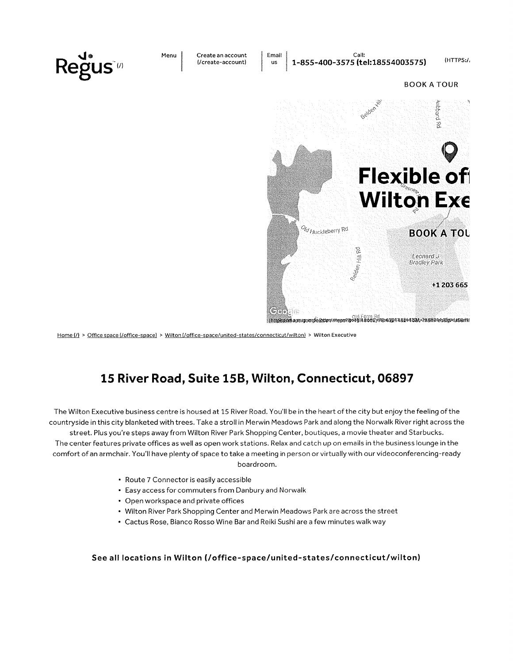

Home (/) > Office space (/office-space) > Wilton (/office-space/united-states/connecticut/wilton) > Wilton Executive

#### 15 River Road, Suite 15B, Wilton, Connecticut, 06897

The Wilton Executive business centre is housed at 15 River Road. You'll be in the heart of the city but enjoy the feeling of the countryside in this city blanketed with trees. Take a stroll in Merwin Meadows Park and along the Norwalk River right across the street. Plus you're steps away from Wilton River Park Shopping Center, boutiques, a movie theater and Starbucks. The center features private offices as well as open work stations. Relax and catch up on emails in the business lounge in the comfort of an armchair. You'll have plenty of space to take a meeting in person or virtually with our videoconferencing-ready boardroom.

- Route 7 Connector is easily accessible
- Easy access for commuters from Danbury and Norwalk
- Open workspace and private offices
- Wilton River Park Shopping Center and Merwin Meadows Park are across the street
- Cactus Rose, Bianco Rosso Wine Bar and Reiki Sushi are a few minutes walk way

#### See all locations in Wilton (/office-space/united-states/connecticut/wilton)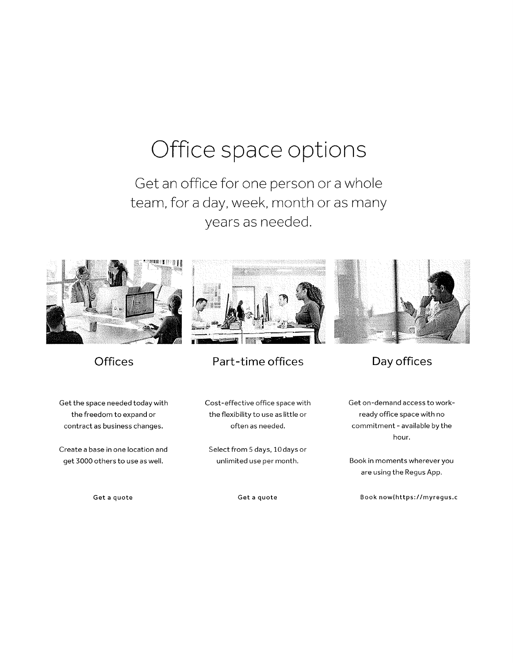### Office space options

Get an office for one person or a whole team, for a day, week, month or as many years as needed.



#### **Offices**

Get the space needed today with the freedom to expand or contract as business changes.

Create a base in one location and get 3000 others to use as well.

Get a quote



#### Part-time offices

Cost-effective office space with the flexibility to use as little or often as needed.

Select from 5 days, 10 days or unlimited use per month.

Get a quote



Get on-demand access to workready offìce space with no commitment - available by the hour.

Book in moments wherever you are using the Regus App.

Book now(https://myregus.c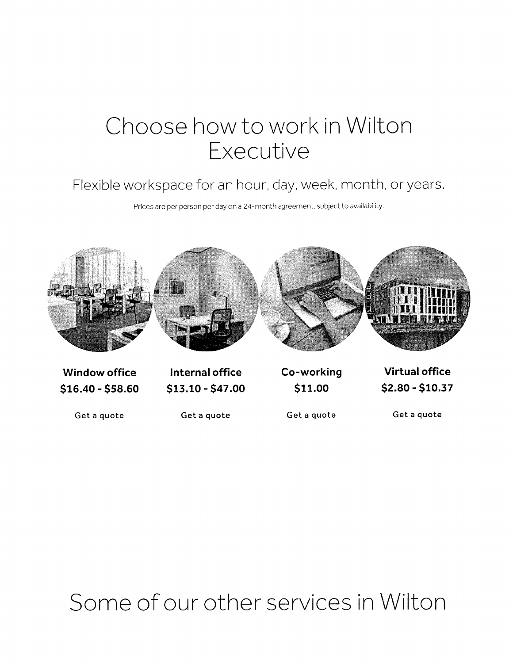### Chocse how to work in Wilton Executive

#### Flexible workspace for an hour, day, week, month, or years.

Prices are per person per day on a 24-month agreement, subject to availability



Get a quote

Get a quote

Get a quote

Get a quote

## Some of our other services in Wilton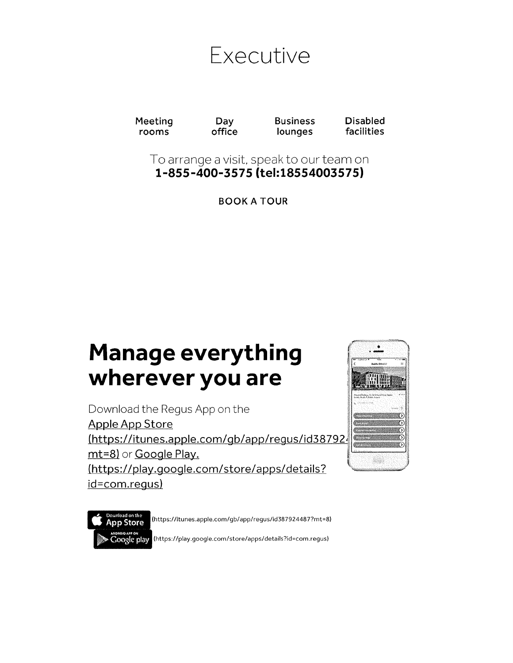

Meeting rooms

Day office Disabled facilities

To arrange a visit, speak to our team on <sup>1</sup>-855 -400-3575 (tel: 1855400357 5l

Business lounges

BOOK A TOUR

### Manage everything wherever you are

Download the Regus App on the Apple App Store (https://itunes.apple.com/gb/app/regus/id387924 mt=8) or Google Play. (https://play.google.com/store/apps/details? id=com.requs)



**App Store** Google play

(https://itunes.apple.com/gb/app/regus/id387924487?mt=8)

(https;//play.google.com/store/apps/details?id=com.regus)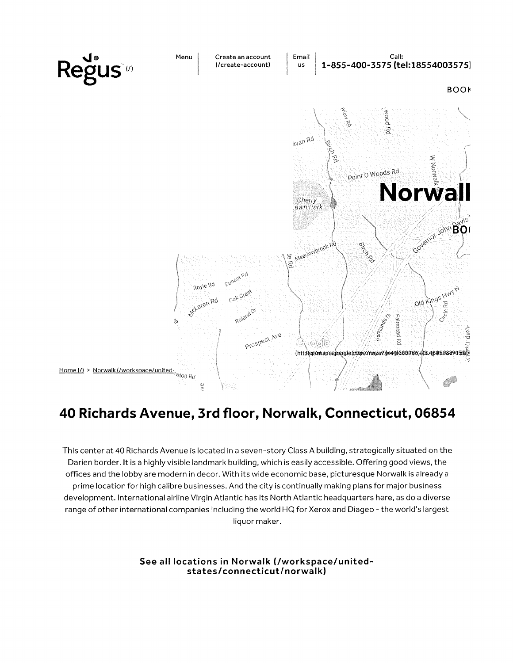

#### 40 Richards Avenue, 3rd floor, Norwalk, Connecticut, 06854

This center at 40 Richards Avenue is located in a seven-story Class A building, strategically situated on the Darien border. It is a highly visible landmark building, which is easily accessible. Offering good views, the offices and the lobby are modern in decor. With its wide economic base, picturesque Norwalk is already a prime location for high calibre businesses. And the city is continually making plans for major business development. International airline Virgin Atlantic has its North Atlantic headquarters here, as do a diverse range of other international companies including the world HQ for Xerox and Diageo - the world's largest liquor maker.

> See all locations in Norwalk (/workspace/unitedstates/connecticut/norwalk)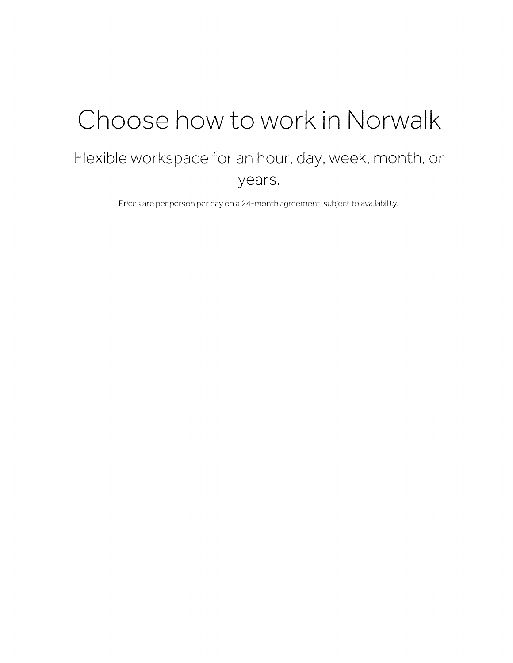## Choose how to work in Norwalk

#### Flexible workspace for an hour, day, week, month, or years.

Prices are per person per day on a 24-month agreement, subject to availability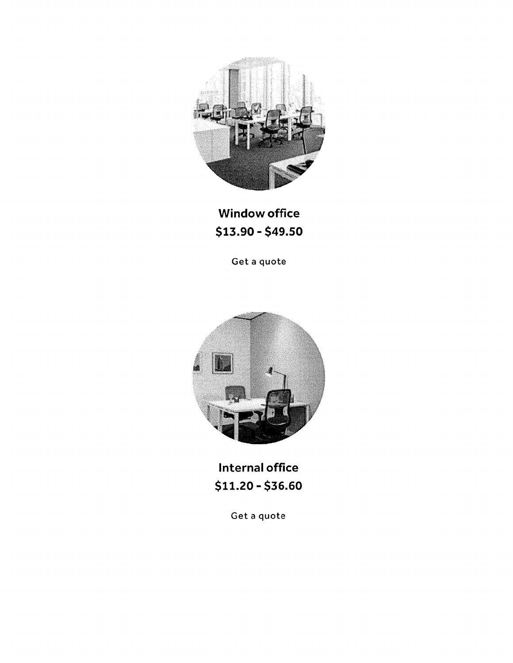

**Window office** \$13.90 - \$49.50

Get a quote



Internal office  $$11.20 - $36.60$ 

Get a quote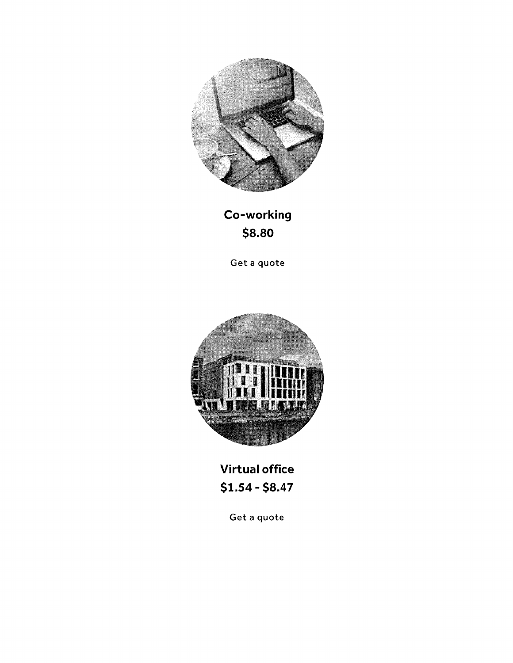

Co-working \$8.80

Get a quote



**Virtual office**  $$1.54 - $8.47$ 

Get a quote